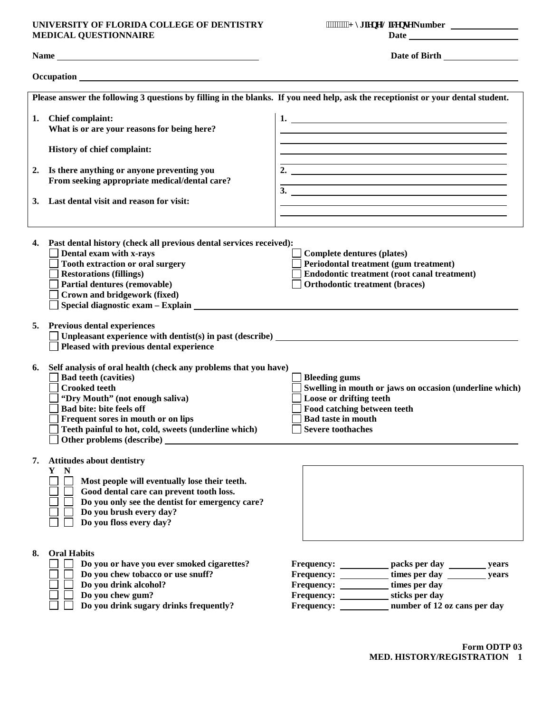## **UNIVERSITY OF FLORIDA COLLEGE OF DENTISTRY +\JLHQH/LFHQVH Number MEDICAL QUESTIONNAIRE**

|  | """"""I { i lgpg'Nlegpug Number |  |
|--|---------------------------------|--|
|--|---------------------------------|--|

|    |                                                                                                                                                                                                                                                                                                                         | Please answer the following 3 questions by filling in the blanks. If you need help, ask the receptionist or your dental student.                                                                                            |
|----|-------------------------------------------------------------------------------------------------------------------------------------------------------------------------------------------------------------------------------------------------------------------------------------------------------------------------|-----------------------------------------------------------------------------------------------------------------------------------------------------------------------------------------------------------------------------|
|    | 1. Chief complaint:<br>What is or are your reasons for being here?                                                                                                                                                                                                                                                      | $1.$ $\overline{\phantom{a}}$<br><u> 1989 - Johann Stoff, amerikansk politiker (d. 1989)</u>                                                                                                                                |
|    | History of chief complaint:                                                                                                                                                                                                                                                                                             | and the control of the control of the control of the control of the control of the control of the control of the                                                                                                            |
| 2. | Is there anything or anyone preventing you<br>From seeking appropriate medical/dental care?<br>Last dental visit and reason for visit:                                                                                                                                                                                  | <u> 1989 - Johann Barn, mars ann an t-Alban ann an t-Alban ann an t-Alban ann an t-Alban ann an t-Alban ann an t-</u><br>2. $\qquad \qquad$<br><u> 1989 - Andrea Branden, amerikansk politik (d. 1989)</u><br>$\frac{3}{2}$ |
|    |                                                                                                                                                                                                                                                                                                                         | and the control of the control of the control of the control of the control of the control of the control of the                                                                                                            |
|    | 4. Past dental history (check all previous dental services received):<br>Dental exam with x-rays<br>Tooth extraction or oral surgery<br><b>Restorations (fillings)</b><br>Partial dentures (removable)<br>Crown and bridgework (fixed)<br>Special diagnostic exam – Explain Level and Special diagnostic exam – Explain | Complete dentures (plates)<br>Periodontal treatment (gum treatment)<br>Endodontic treatment (root canal treatment)<br><b>Orthodontic treatment (braces)</b>                                                                 |
|    | 5. Previous dental experiences<br>Unpleasant experience with dentist(s) in past (describe) $\overline{\phantom{a}}$<br>Pleased with previous dental experience                                                                                                                                                          |                                                                                                                                                                                                                             |
| 6. | Self analysis of oral health (check any problems that you have)<br><b>Bad teeth (cavities)</b><br><b>Crooked teeth</b><br>"Dry Mouth" (not enough saliva)<br>Bad bite: bite feels off<br>Frequent sores in mouth or on lips<br>Teeth painful to hot, cold, sweets (underline which)<br>Other problems (describe)        | $\Box$ Bleeding gums<br>$\Box$ Swelling in mouth or jaws on occasion (underline which)<br>$\Box$ Loose or drifting teeth<br>Food catching between teeth<br><b>Bad taste in mouth</b><br><b>Severe toothaches</b>            |
|    | 7. Attitudes about dentistry<br>Y N<br>Most people will eventually lose their teeth.<br>Good dental care can prevent tooth loss.<br>Do you only see the dentist for emergency care?<br>Do you brush every day?<br>Do you floss every day?                                                                               |                                                                                                                                                                                                                             |
| 8. | <b>Oral Habits</b><br>Do you or have you ever smoked cigarettes?<br>Do you chew tobacco or use snuff?<br>Do you drink alcohol?<br>Do you chew gum?<br>Do you drink sugary drinks frequently?                                                                                                                            | Frequency: ____________ packs per day _________ years<br>times per day<br>years<br>times per day<br>sticks per day<br>number of 12 oz cans per day<br>Frequency: _____                                                      |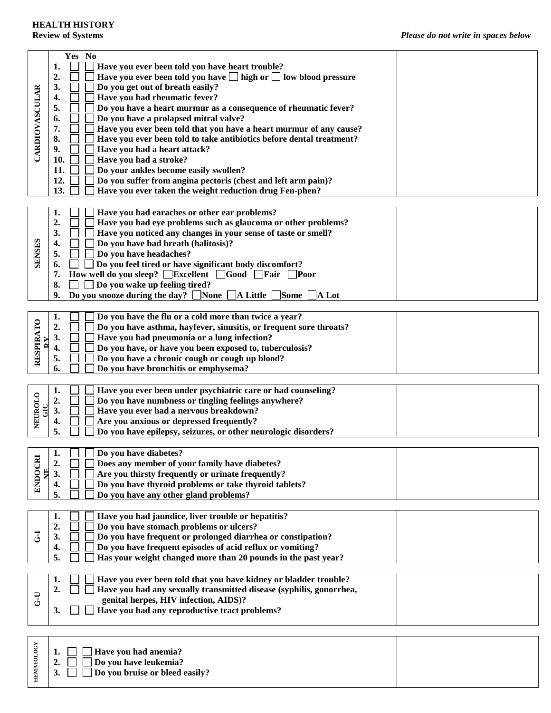| <b>CARDIOVASCULAR</b> | Yes No<br>Have you ever been told you have heart trouble?<br>1.<br>Have you ever been told you have $\Box$ high or $\Box$ low blood pressure<br>2.<br>3.<br>Do you get out of breath easily?<br>Have you had rheumatic fever?<br>4.<br>Do you have a heart murmur as a consequence of rheumatic fever?<br>5.<br>Do you have a prolapsed mitral valve?<br>6.<br>7.<br>Have you ever been told that you have a heart murmur of any cause?<br>8.<br>Have you ever been told to take antibiotics before dental treatment?<br>Have you had a heart attack?<br>9.<br>Have you had a stroke?<br>10.<br>Do your ankles become easily swollen?<br>11.<br>12.<br>Do you suffer from angina pectoris (chest and left arm pain)?<br>13.<br>Have you ever taken the weight reduction drug Fen-phen? |  |
|-----------------------|----------------------------------------------------------------------------------------------------------------------------------------------------------------------------------------------------------------------------------------------------------------------------------------------------------------------------------------------------------------------------------------------------------------------------------------------------------------------------------------------------------------------------------------------------------------------------------------------------------------------------------------------------------------------------------------------------------------------------------------------------------------------------------------|--|
| <b>SENSES</b>         | Have you had earaches or other ear problems?<br>1.<br>2.<br>Have you had eye problems such as glaucoma or other problems?<br>3.<br>Have you noticed any changes in your sense of taste or smell?<br>Do you have bad breath (halitosis)?<br>4.<br>Do you have headaches?<br>5.<br>Do you feel tired or have significant body discomfort?<br>6.<br>How well do you sleep? $\Box$ Excellent $\Box$ Good $\Box$ Fair<br>7.<br>      Poor<br>$\Box$ Do you wake up feeling tired?<br>8.<br>Do you snooze during the day? None $\Box$ A Little $\Box$ Some [<br>9.<br>$\overline{A}$ Lot                                                                                                                                                                                                     |  |
| RESPIRATO             | 1.<br>Do you have the flu or a cold more than twice a year?<br>$\overline{2}$<br>Do you have asthma, hayfever, sinusitis, or frequent sore throats?<br>Have you had pneumonia or a lung infection?<br>3.<br>4.<br>Do you have, or have you been exposed to, tuberculosis?<br>5.<br>Do you have a chronic cough or cough up blood?<br>Do you have bronchitis or emphysema?<br>6.                                                                                                                                                                                                                                                                                                                                                                                                        |  |
| NEUROLO               | 1.<br>Have you ever been under psychiatric care or had counseling?<br>2.<br>Do you have numbness or tingling feelings anywhere?<br>Have you ever had a nervous breakdown?<br>3.<br>Are you anxious or depressed frequently?<br>4.<br>5.<br>Do you have epilepsy, seizures, or other neurologic disorders?                                                                                                                                                                                                                                                                                                                                                                                                                                                                              |  |
| ENDOCRI               | $\mathbf{1}$<br>Do you have diabetes?<br>2.<br>Does any member of your family have diabetes?<br>Are you thirsty frequently or urinate frequently?<br>3.<br>Do you have thyroid problems or take thyroid tablets?<br>4.<br>5.<br>Do you have any other gland problems?                                                                                                                                                                                                                                                                                                                                                                                                                                                                                                                  |  |
| J                     | Have you had jaundice, liver trouble or hepatitis?<br>1.<br>Do you have stomach problems or ulcers?<br>2.<br>Do you have frequent or prolonged diarrhea or constipation?<br>3.<br>Do you have frequent episodes of acid reflux or vomiting?<br>4.<br>5.<br>Has your weight changed more than 20 pounds in the past year?                                                                                                                                                                                                                                                                                                                                                                                                                                                               |  |
| $U - D$               | 1.<br>Have you ever been told that you have kidney or bladder trouble?<br>2.<br>Have you had any sexually transmitted disease (syphilis, gonorrhea,<br>genital herpes, HIV infection, AIDS)?<br>Have you had any reproductive tract problems?<br>3.                                                                                                                                                                                                                                                                                                                                                                                                                                                                                                                                    |  |
| <b>HEMATOLOGY</b>     | Have you had anemia?<br>1,<br>Do you have leukemia?<br>$\mathbf{2}$<br>Do you bruise or bleed easily?<br>3.                                                                                                                                                                                                                                                                                                                                                                                                                                                                                                                                                                                                                                                                            |  |

|  | $\vert$ 2. $\Box$ $\Box$ Do you have leukemia? |
|--|------------------------------------------------|

| $\therefore$ $\Box$ Do you bruise or bleed easily? | 3. |  |  |  |  |  |  |  |
|----------------------------------------------------|----|--|--|--|--|--|--|--|
|----------------------------------------------------|----|--|--|--|--|--|--|--|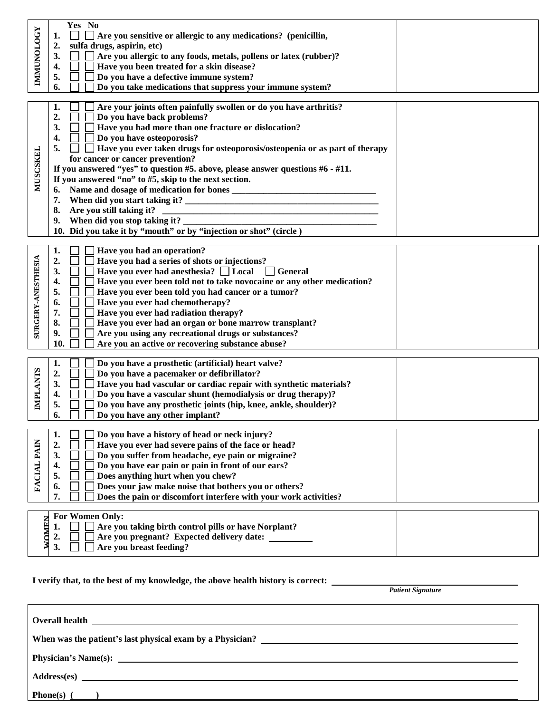| <b>IMMUNOLOGY</b>         | Yes No<br>$\blacksquare$<br>$\Box$ Are you sensitive or allergic to any medications? (penicillin,<br>1.<br>2.<br>sulfa drugs, aspirin, etc)<br>Are you allergic to any foods, metals, pollens or latex (rubber)?<br>3.<br>$\sim 1$<br>Have you been treated for a skin disease?<br>4.<br>Do you have a defective immune system?<br>5.<br>Do you take medications that suppress your immune system?<br>6.                                                                                                                                                                                                                                                                                |
|---------------------------|-----------------------------------------------------------------------------------------------------------------------------------------------------------------------------------------------------------------------------------------------------------------------------------------------------------------------------------------------------------------------------------------------------------------------------------------------------------------------------------------------------------------------------------------------------------------------------------------------------------------------------------------------------------------------------------------|
| <b>MUSCSKEL</b>           | Are your joints often painfully swollen or do you have arthritis?<br>1.<br>$\overline{2}$<br>Do you have back problems?<br>3.<br>Have you had more than one fracture or dislocation?<br>Do you have osteoporosis?<br>4.<br>Have you ever taken drugs for osteoporosis/osteopenia or as part of therapy<br>5.<br>for cancer or cancer prevention?<br>If you answered "yes" to question #5. above, please answer questions #6 - #11.<br>If you answered "no" to #5, skip to the next section.<br>6.<br>When did you start taking it? _<br>7.<br>Are you still taking it?<br>8.<br>9.<br>When did you stop taking it?<br>10. Did you take it by "mouth" or by "injection or shot" (circle) |
| <b>SURGERY-ANESTHESIA</b> | Have you had an operation?<br>1.<br>Have you had a series of shots or injections?<br>2.<br>Have you ever had an esthesia? $\Box$ Local<br>3.<br>$\Box$ General<br>Have you ever been told not to take novocaine or any other medication?<br>4.<br>Have you ever been told you had cancer or a tumor?<br>5.<br>Have you ever had chemotherapy?<br>6.<br>Have you ever had radiation therapy?<br>7.<br>Have you ever had an organ or bone marrow transplant?<br>8.<br>Are you using any recreational drugs or substances?<br>9.<br>Are you an active or recovering substance abuse?<br>10.                                                                                                |
| <b>IMPLANTS</b>           | Do you have a prosthetic (artificial) heart valve?<br>1.<br>Do you have a pacemaker or defibrillator?<br>2.<br>Have you had vascular or cardiac repair with synthetic materials?<br>3.<br>Do you have a vascular shunt (hemodialysis or drug therapy)?<br>4.<br>Do you have any prosthetic joints (hip, knee, ankle, shoulder)?<br>5.<br>6.<br>Do you have any other implant?                                                                                                                                                                                                                                                                                                           |
| FACIAL PAIN               | Do you have a history of head or neck injury?<br>1.<br>Have you ever had severe pains of the face or head?<br>2.<br>Do you suffer from headache, eye pain or migraine?<br>3.<br>Do you have ear pain or pain in front of our ears?<br>4.<br>Does anything hurt when you chew?<br>5.<br>Does your jaw make noise that bothers you or others?<br>6.<br>7.<br>Does the pain or discomfort interfere with your work activities?                                                                                                                                                                                                                                                             |
| WOMEN                     | For Women Only:<br>Are you taking birth control pills or have Norplant?<br>1.<br>Are you pregnant? Expected delivery date:<br>2.<br>Are you breast feeding?<br>3.                                                                                                                                                                                                                                                                                                                                                                                                                                                                                                                       |

## **I verify that, to the best of my knowledge, the above health history is correct:**

*Patient Signature*

| Address(es)                          |
|--------------------------------------|
| Phone(s)<br>$\overline{\phantom{a}}$ |